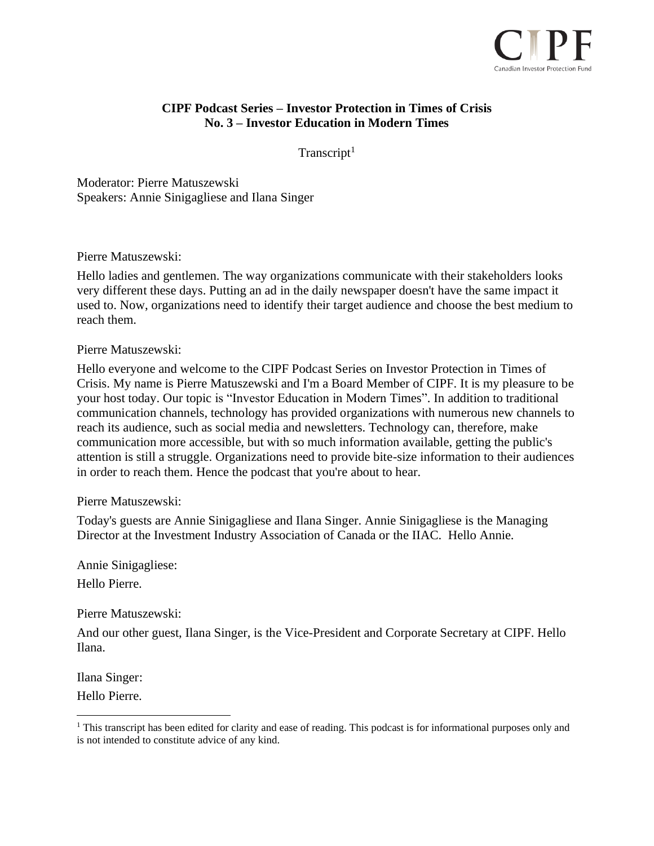

# **CIPF Podcast Series – Investor Protection in Times of Crisis No. 3 – Investor Education in Modern Times**

 $Transcript<sup>1</sup>$ 

Moderator: Pierre Matuszewski Speakers: Annie Sinigagliese and Ilana Singer

Pierre Matuszewski:

Hello ladies and gentlemen. The way organizations communicate with their stakeholders looks very different these days. Putting an ad in the daily newspaper doesn't have the same impact it used to. Now, organizations need to identify their target audience and choose the best medium to reach them.

Pierre Matuszewski:

Hello everyone and welcome to the CIPF Podcast Series on Investor Protection in Times of Crisis. My name is Pierre Matuszewski and I'm a Board Member of CIPF. It is my pleasure to be your host today. Our topic is "Investor Education in Modern Times". In addition to traditional communication channels, technology has provided organizations with numerous new channels to reach its audience, such as social media and newsletters. Technology can, therefore, make communication more accessible, but with so much information available, getting the public's attention is still a struggle. Organizations need to provide bite-size information to their audiences in order to reach them. Hence the podcast that you're about to hear.

## Pierre Matuszewski:

Today's guests are Annie Sinigagliese and Ilana Singer. Annie Sinigagliese is the Managing Director at the Investment Industry Association of Canada or the IIAC. Hello Annie.

Annie Sinigagliese:

Hello Pierre.

Pierre Matuszewski:

And our other guest, Ilana Singer, is the Vice-President and Corporate Secretary at CIPF. Hello Ilana.

Ilana Singer:

Hello Pierre.

<sup>&</sup>lt;sup>1</sup> This transcript has been edited for clarity and ease of reading. This podcast is for informational purposes only and is not intended to constitute advice of any kind.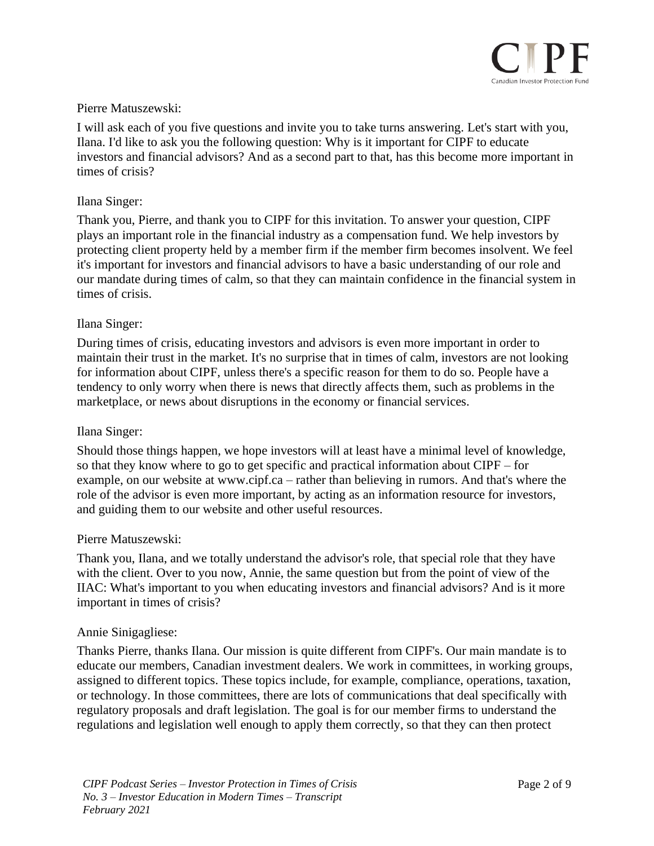

## Pierre Matuszewski:

I will ask each of you five questions and invite you to take turns answering. Let's start with you, Ilana. I'd like to ask you the following question: Why is it important for CIPF to educate investors and financial advisors? And as a second part to that, has this become more important in times of crisis?

## Ilana Singer:

Thank you, Pierre, and thank you to CIPF for this invitation. To answer your question, CIPF plays an important role in the financial industry as a compensation fund. We help investors by protecting client property held by a member firm if the member firm becomes insolvent. We feel it's important for investors and financial advisors to have a basic understanding of our role and our mandate during times of calm, so that they can maintain confidence in the financial system in times of crisis.

### Ilana Singer:

During times of crisis, educating investors and advisors is even more important in order to maintain their trust in the market. It's no surprise that in times of calm, investors are not looking for information about CIPF, unless there's a specific reason for them to do so. People have a tendency to only worry when there is news that directly affects them, such as problems in the marketplace, or news about disruptions in the economy or financial services.

#### Ilana Singer:

Should those things happen, we hope investors will at least have a minimal level of knowledge, so that they know where to go to get specific and practical information about CIPF – for example, on our website at www.cipf.ca – rather than believing in rumors. And that's where the role of the advisor is even more important, by acting as an information resource for investors, and guiding them to our website and other useful resources.

#### Pierre Matuszewski:

Thank you, Ilana, and we totally understand the advisor's role, that special role that they have with the client. Over to you now, Annie, the same question but from the point of view of the IIAC: What's important to you when educating investors and financial advisors? And is it more important in times of crisis?

#### Annie Sinigagliese:

Thanks Pierre, thanks Ilana. Our mission is quite different from CIPF's. Our main mandate is to educate our members, Canadian investment dealers. We work in committees, in working groups, assigned to different topics. These topics include, for example, compliance, operations, taxation, or technology. In those committees, there are lots of communications that deal specifically with regulatory proposals and draft legislation. The goal is for our member firms to understand the regulations and legislation well enough to apply them correctly, so that they can then protect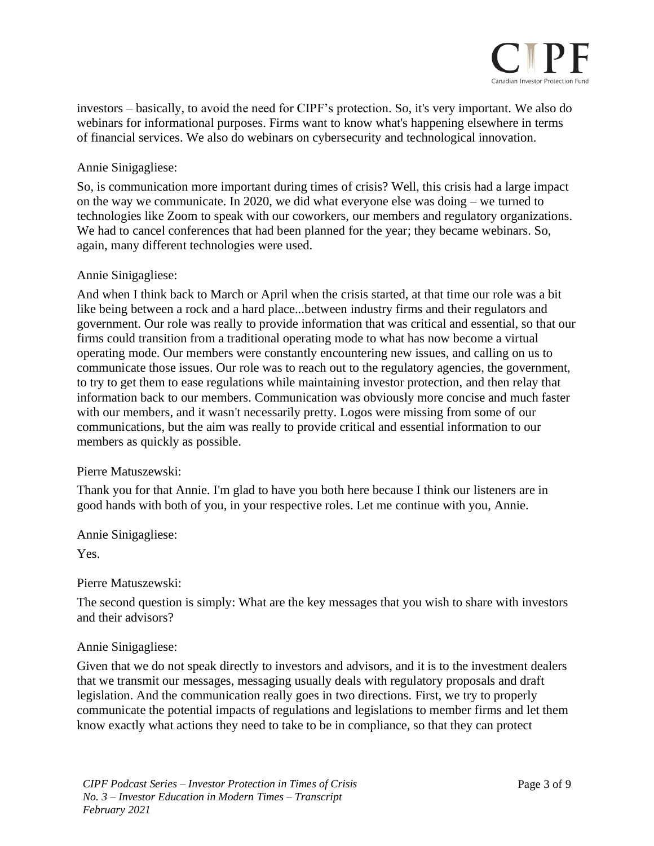

investors – basically, to avoid the need for CIPF's protection. So, it's very important. We also do webinars for informational purposes. Firms want to know what's happening elsewhere in terms of financial services. We also do webinars on cybersecurity and technological innovation.

# Annie Sinigagliese:

So, is communication more important during times of crisis? Well, this crisis had a large impact on the way we communicate. In 2020, we did what everyone else was doing – we turned to technologies like Zoom to speak with our coworkers, our members and regulatory organizations. We had to cancel conferences that had been planned for the year; they became webinars. So, again, many different technologies were used.

## Annie Sinigagliese:

And when I think back to March or April when the crisis started, at that time our role was a bit like being between a rock and a hard place...between industry firms and their regulators and government. Our role was really to provide information that was critical and essential, so that our firms could transition from a traditional operating mode to what has now become a virtual operating mode. Our members were constantly encountering new issues, and calling on us to communicate those issues. Our role was to reach out to the regulatory agencies, the government, to try to get them to ease regulations while maintaining investor protection, and then relay that information back to our members. Communication was obviously more concise and much faster with our members, and it wasn't necessarily pretty. Logos were missing from some of our communications, but the aim was really to provide critical and essential information to our members as quickly as possible.

## Pierre Matuszewski:

Thank you for that Annie. I'm glad to have you both here because I think our listeners are in good hands with both of you, in your respective roles. Let me continue with you, Annie.

Annie Sinigagliese:

Yes.

## Pierre Matuszewski:

The second question is simply: What are the key messages that you wish to share with investors and their advisors?

## Annie Sinigagliese:

Given that we do not speak directly to investors and advisors, and it is to the investment dealers that we transmit our messages, messaging usually deals with regulatory proposals and draft legislation. And the communication really goes in two directions. First, we try to properly communicate the potential impacts of regulations and legislations to member firms and let them know exactly what actions they need to take to be in compliance, so that they can protect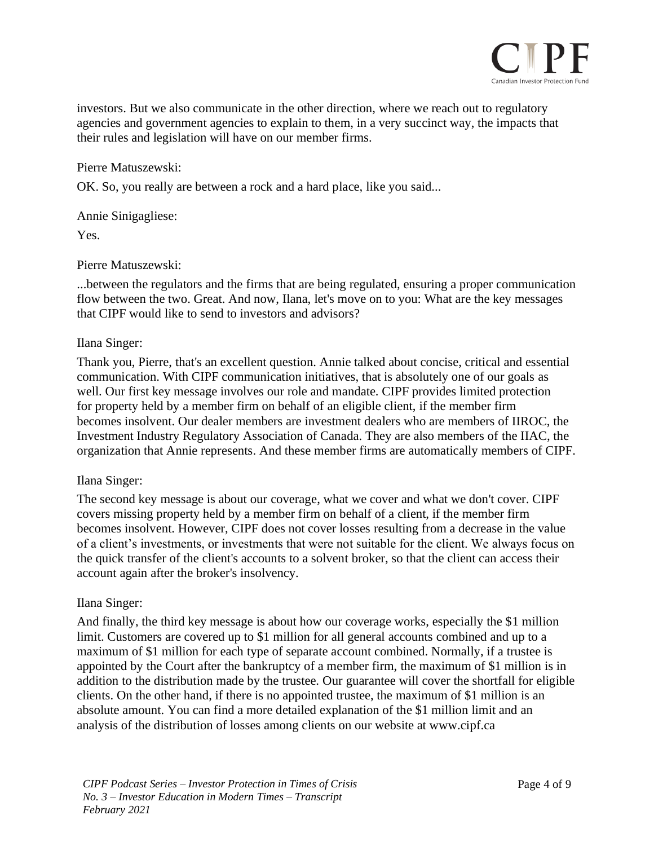

investors. But we also communicate in the other direction, where we reach out to regulatory agencies and government agencies to explain to them, in a very succinct way, the impacts that their rules and legislation will have on our member firms.

Pierre Matuszewski:

OK. So, you really are between a rock and a hard place, like you said...

Annie Sinigagliese:

Yes.

Pierre Matuszewski:

...between the regulators and the firms that are being regulated, ensuring a proper communication flow between the two. Great. And now, Ilana, let's move on to you: What are the key messages that CIPF would like to send to investors and advisors?

### Ilana Singer:

Thank you, Pierre, that's an excellent question. Annie talked about concise, critical and essential communication. With CIPF communication initiatives, that is absolutely one of our goals as well. Our first key message involves our role and mandate. CIPF provides limited protection for property held by a member firm on behalf of an eligible client, if the member firm becomes insolvent. Our dealer members are investment dealers who are members of IIROC, the Investment Industry Regulatory Association of Canada. They are also members of the IIAC, the organization that Annie represents. And these member firms are automatically members of CIPF.

#### Ilana Singer:

The second key message is about our coverage, what we cover and what we don't cover. CIPF covers missing property held by a member firm on behalf of a client, if the member firm becomes insolvent. However, CIPF does not cover losses resulting from a decrease in the value of a client's investments, or investments that were not suitable for the client. We always focus on the quick transfer of the client's accounts to a solvent broker, so that the client can access their account again after the broker's insolvency.

#### Ilana Singer:

And finally, the third key message is about how our coverage works, especially the \$1 million limit. Customers are covered up to \$1 million for all general accounts combined and up to a maximum of \$1 million for each type of separate account combined. Normally, if a trustee is appointed by the Court after the bankruptcy of a member firm, the maximum of \$1 million is in addition to the distribution made by the trustee. Our guarantee will cover the shortfall for eligible clients. On the other hand, if there is no appointed trustee, the maximum of \$1 million is an absolute amount. You can find a more detailed explanation of the \$1 million limit and an analysis of the distribution of losses among clients on our website at www.cipf.ca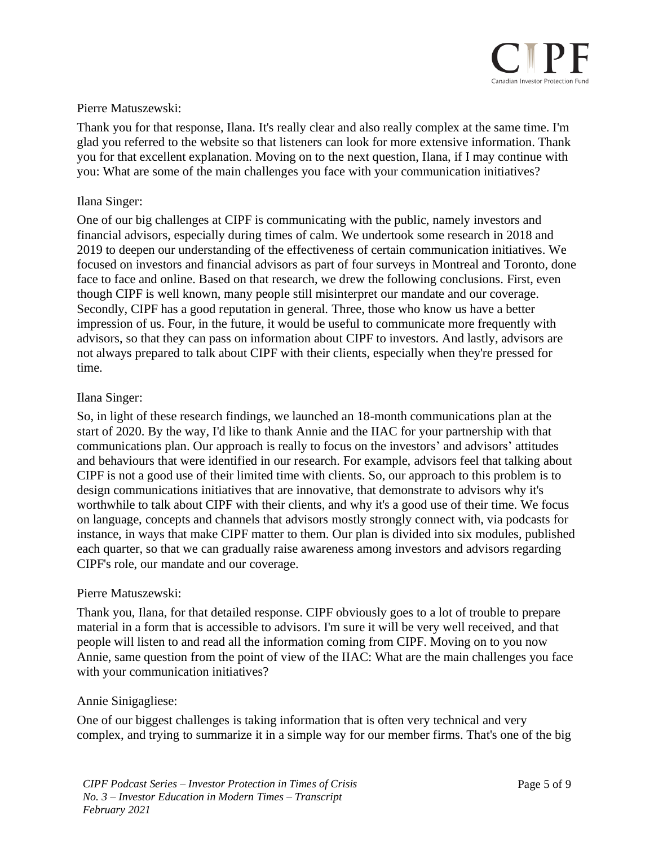

## Pierre Matuszewski:

Thank you for that response, Ilana. It's really clear and also really complex at the same time. I'm glad you referred to the website so that listeners can look for more extensive information. Thank you for that excellent explanation. Moving on to the next question, Ilana, if I may continue with you: What are some of the main challenges you face with your communication initiatives?

## Ilana Singer:

One of our big challenges at CIPF is communicating with the public, namely investors and financial advisors, especially during times of calm. We undertook some research in 2018 and 2019 to deepen our understanding of the effectiveness of certain communication initiatives. We focused on investors and financial advisors as part of four surveys in Montreal and Toronto, done face to face and online. Based on that research, we drew the following conclusions. First, even though CIPF is well known, many people still misinterpret our mandate and our coverage. Secondly, CIPF has a good reputation in general. Three, those who know us have a better impression of us. Four, in the future, it would be useful to communicate more frequently with advisors, so that they can pass on information about CIPF to investors. And lastly, advisors are not always prepared to talk about CIPF with their clients, especially when they're pressed for time.

### Ilana Singer:

So, in light of these research findings, we launched an 18-month communications plan at the start of 2020. By the way, I'd like to thank Annie and the IIAC for your partnership with that communications plan. Our approach is really to focus on the investors' and advisors' attitudes and behaviours that were identified in our research. For example, advisors feel that talking about CIPF is not a good use of their limited time with clients. So, our approach to this problem is to design communications initiatives that are innovative, that demonstrate to advisors why it's worthwhile to talk about CIPF with their clients, and why it's a good use of their time. We focus on language, concepts and channels that advisors mostly strongly connect with, via podcasts for instance, in ways that make CIPF matter to them. Our plan is divided into six modules, published each quarter, so that we can gradually raise awareness among investors and advisors regarding CIPF's role, our mandate and our coverage.

## Pierre Matuszewski:

Thank you, Ilana, for that detailed response. CIPF obviously goes to a lot of trouble to prepare material in a form that is accessible to advisors. I'm sure it will be very well received, and that people will listen to and read all the information coming from CIPF. Moving on to you now Annie, same question from the point of view of the IIAC: What are the main challenges you face with your communication initiatives?

#### Annie Sinigagliese:

One of our biggest challenges is taking information that is often very technical and very complex, and trying to summarize it in a simple way for our member firms. That's one of the big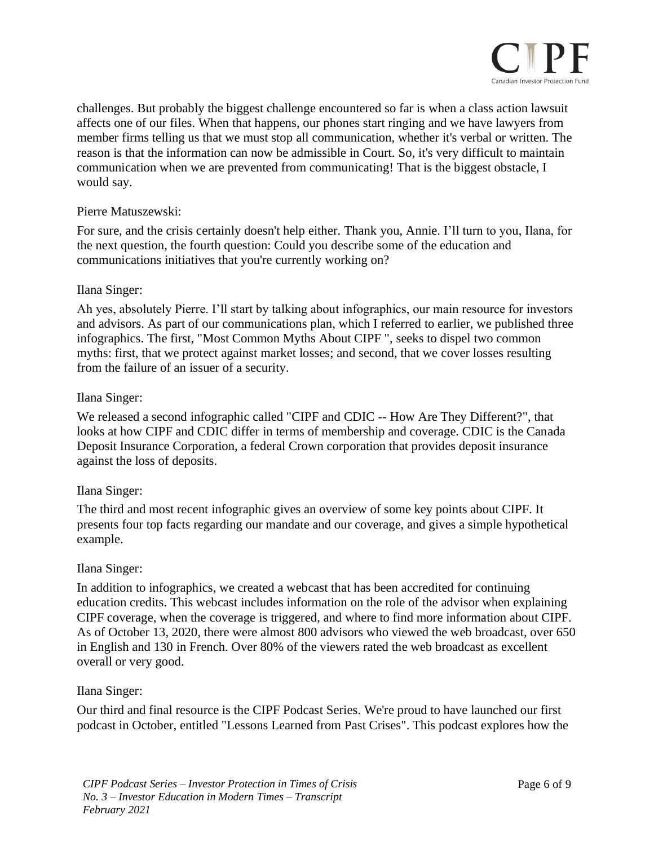

challenges. But probably the biggest challenge encountered so far is when a class action lawsuit affects one of our files. When that happens, our phones start ringing and we have lawyers from member firms telling us that we must stop all communication, whether it's verbal or written. The reason is that the information can now be admissible in Court. So, it's very difficult to maintain communication when we are prevented from communicating! That is the biggest obstacle, I would say.

## Pierre Matuszewski:

For sure, and the crisis certainly doesn't help either. Thank you, Annie. I'll turn to you, Ilana, for the next question, the fourth question: Could you describe some of the education and communications initiatives that you're currently working on?

## Ilana Singer:

Ah yes, absolutely Pierre. I'll start by talking about infographics, our main resource for investors and advisors. As part of our communications plan, which I referred to earlier, we published three infographics. The first, "Most Common Myths About CIPF ", seeks to dispel two common myths: first, that we protect against market losses; and second, that we cover losses resulting from the failure of an issuer of a security.

## Ilana Singer:

We released a second infographic called "CIPF and CDIC -- How Are They Different?", that looks at how CIPF and CDIC differ in terms of membership and coverage. CDIC is the Canada Deposit Insurance Corporation, a federal Crown corporation that provides deposit insurance against the loss of deposits.

# Ilana Singer:

The third and most recent infographic gives an overview of some key points about CIPF. It presents four top facts regarding our mandate and our coverage, and gives a simple hypothetical example.

## Ilana Singer:

In addition to infographics, we created a webcast that has been accredited for continuing education credits. This webcast includes information on the role of the advisor when explaining CIPF coverage, when the coverage is triggered, and where to find more information about CIPF. As of October 13, 2020, there were almost 800 advisors who viewed the web broadcast, over 650 in English and 130 in French. Over 80% of the viewers rated the web broadcast as excellent overall or very good.

## Ilana Singer:

Our third and final resource is the CIPF Podcast Series. We're proud to have launched our first podcast in October, entitled "Lessons Learned from Past Crises". This podcast explores how the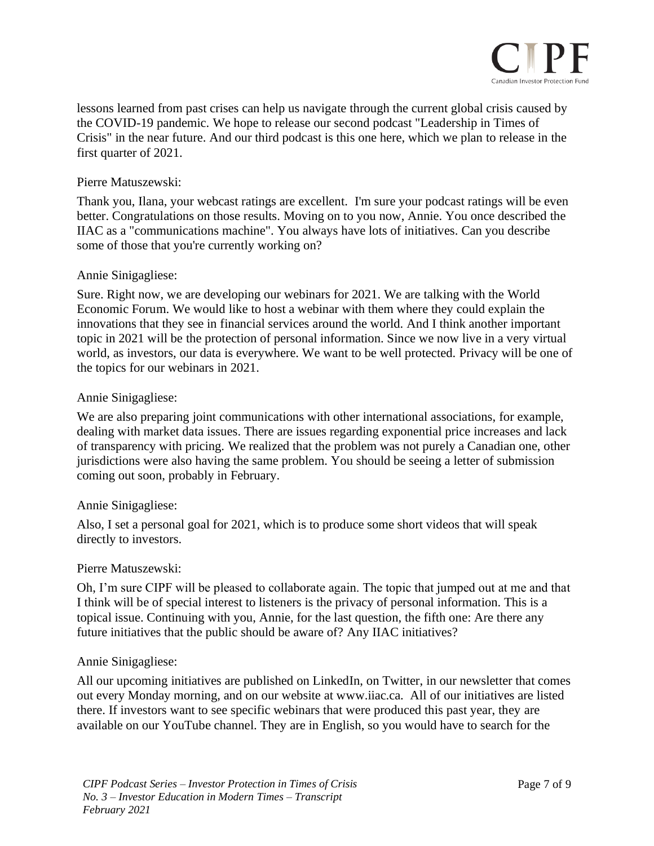

lessons learned from past crises can help us navigate through the current global crisis caused by the COVID-19 pandemic. We hope to release our second podcast "Leadership in Times of Crisis" in the near future. And our third podcast is this one here, which we plan to release in the first quarter of 2021.

## Pierre Matuszewski:

Thank you, Ilana, your webcast ratings are excellent. I'm sure your podcast ratings will be even better. Congratulations on those results. Moving on to you now, Annie. You once described the IIAC as a "communications machine". You always have lots of initiatives. Can you describe some of those that you're currently working on?

## Annie Sinigagliese:

Sure. Right now, we are developing our webinars for 2021. We are talking with the World Economic Forum. We would like to host a webinar with them where they could explain the innovations that they see in financial services around the world. And I think another important topic in 2021 will be the protection of personal information. Since we now live in a very virtual world, as investors, our data is everywhere. We want to be well protected. Privacy will be one of the topics for our webinars in 2021.

## Annie Sinigagliese:

We are also preparing joint communications with other international associations, for example, dealing with market data issues. There are issues regarding exponential price increases and lack of transparency with pricing. We realized that the problem was not purely a Canadian one, other jurisdictions were also having the same problem. You should be seeing a letter of submission coming out soon, probably in February.

## Annie Sinigagliese:

Also, I set a personal goal for 2021, which is to produce some short videos that will speak directly to investors.

#### Pierre Matuszewski:

Oh, I'm sure CIPF will be pleased to collaborate again. The topic that jumped out at me and that I think will be of special interest to listeners is the privacy of personal information. This is a topical issue. Continuing with you, Annie, for the last question, the fifth one: Are there any future initiatives that the public should be aware of? Any IIAC initiatives?

#### Annie Sinigagliese:

All our upcoming initiatives are published on LinkedIn, on Twitter, in our newsletter that comes out every Monday morning, and on our website at www.iiac.ca. All of our initiatives are listed there. If investors want to see specific webinars that were produced this past year, they are available on our YouTube channel. They are in English, so you would have to search for the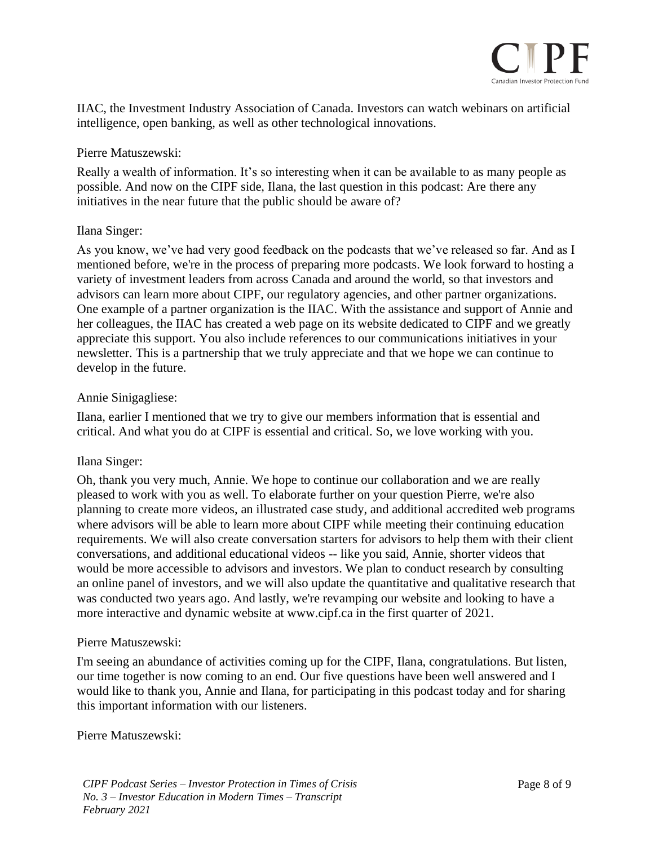

IIAC, the Investment Industry Association of Canada. Investors can watch webinars on artificial intelligence, open banking, as well as other technological innovations.

## Pierre Matuszewski:

Really a wealth of information. It's so interesting when it can be available to as many people as possible. And now on the CIPF side, Ilana, the last question in this podcast: Are there any initiatives in the near future that the public should be aware of?

## Ilana Singer:

As you know, we've had very good feedback on the podcasts that we've released so far. And as I mentioned before, we're in the process of preparing more podcasts. We look forward to hosting a variety of investment leaders from across Canada and around the world, so that investors and advisors can learn more about CIPF, our regulatory agencies, and other partner organizations. One example of a partner organization is the IIAC. With the assistance and support of Annie and her colleagues, the IIAC has created a web page on its website dedicated to CIPF and we greatly appreciate this support. You also include references to our communications initiatives in your newsletter. This is a partnership that we truly appreciate and that we hope we can continue to develop in the future.

## Annie Sinigagliese:

Ilana, earlier I mentioned that we try to give our members information that is essential and critical. And what you do at CIPF is essential and critical. So, we love working with you.

## Ilana Singer:

Oh, thank you very much, Annie. We hope to continue our collaboration and we are really pleased to work with you as well. To elaborate further on your question Pierre, we're also planning to create more videos, an illustrated case study, and additional accredited web programs where advisors will be able to learn more about CIPF while meeting their continuing education requirements. We will also create conversation starters for advisors to help them with their client conversations, and additional educational videos -- like you said, Annie, shorter videos that would be more accessible to advisors and investors. We plan to conduct research by consulting an online panel of investors, and we will also update the quantitative and qualitative research that was conducted two years ago. And lastly, we're revamping our website and looking to have a more interactive and dynamic website at www.cipf.ca in the first quarter of 2021.

#### Pierre Matuszewski:

I'm seeing an abundance of activities coming up for the CIPF, Ilana, congratulations. But listen, our time together is now coming to an end. Our five questions have been well answered and I would like to thank you, Annie and Ilana, for participating in this podcast today and for sharing this important information with our listeners.

Pierre Matuszewski: